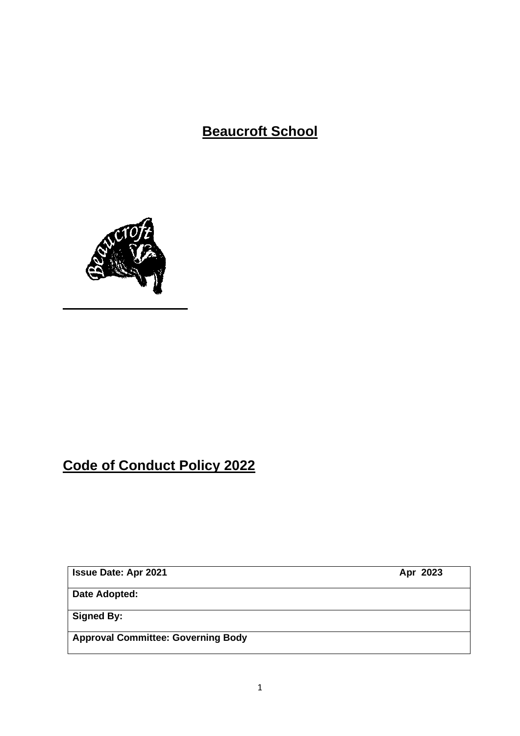**Beaucroft School**



# **Code of Conduct Policy 2022**

**Issue Date: Apr 2021** Apr 2023

**Date Adopted:**

**Signed By:**

**Approval Committee: Governing Body**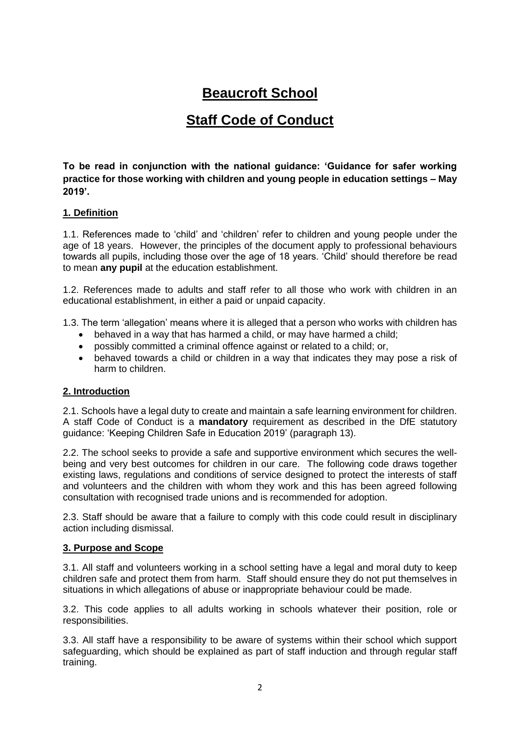# **Beaucroft School**

# **Staff Code of Conduct**

**To be read in conjunction with the national guidance: 'Guidance for safer working practice for those working with children and young people in education settings – May 2019'.**

# **1. Definition**

1.1. References made to 'child' and 'children' refer to children and young people under the age of 18 years. However, the principles of the document apply to professional behaviours towards all pupils, including those over the age of 18 years. 'Child' should therefore be read to mean **any pupil** at the education establishment.

1.2. References made to adults and staff refer to all those who work with children in an educational establishment, in either a paid or unpaid capacity.

1.3. The term 'allegation' means where it is alleged that a person who works with children has

- behaved in a way that has harmed a child, or may have harmed a child;
- possibly committed a criminal offence against or related to a child; or,
- behaved towards a child or children in a way that indicates they may pose a risk of harm to children.

#### **2. Introduction**

2.1. Schools have a legal duty to create and maintain a safe learning environment for children. A staff Code of Conduct is a **mandatory** requirement as described in the DfE statutory guidance: 'Keeping Children Safe in Education 2019' (paragraph 13).

2.2. The school seeks to provide a safe and supportive environment which secures the wellbeing and very best outcomes for children in our care. The following code draws together existing laws, regulations and conditions of service designed to protect the interests of staff and volunteers and the children with whom they work and this has been agreed following consultation with recognised trade unions and is recommended for adoption.

2.3. Staff should be aware that a failure to comply with this code could result in disciplinary action including dismissal.

#### **3. Purpose and Scope**

3.1. All staff and volunteers working in a school setting have a legal and moral duty to keep children safe and protect them from harm. Staff should ensure they do not put themselves in situations in which allegations of abuse or inappropriate behaviour could be made.

3.2. This code applies to all adults working in schools whatever their position, role or responsibilities.

3.3. All staff have a responsibility to be aware of systems within their school which support safeguarding, which should be explained as part of staff induction and through regular staff training.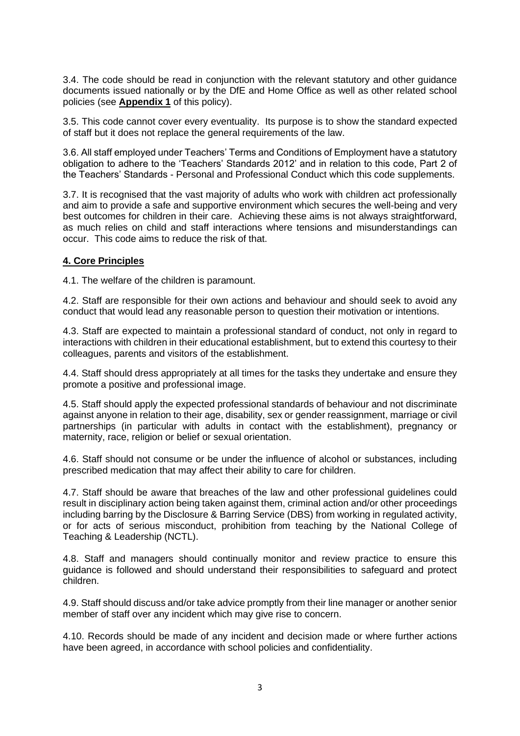3.4. The code should be read in conjunction with the relevant statutory and other guidance documents issued nationally or by the DfE and Home Office as well as other related school policies (see **Appendix 1** of this policy).

3.5. This code cannot cover every eventuality. Its purpose is to show the standard expected of staff but it does not replace the general requirements of the law.

3.6. All staff employed under Teachers' Terms and Conditions of Employment have a statutory obligation to adhere to the 'Teachers' Standards 2012' and in relation to this code, Part 2 of the Teachers' Standards - Personal and Professional Conduct which this code supplements.

3.7. It is recognised that the vast majority of adults who work with children act professionally and aim to provide a safe and supportive environment which secures the well-being and very best outcomes for children in their care. Achieving these aims is not always straightforward, as much relies on child and staff interactions where tensions and misunderstandings can occur. This code aims to reduce the risk of that.

#### **4. Core Principles**

4.1. The welfare of the children is paramount.

4.2. Staff are responsible for their own actions and behaviour and should seek to avoid any conduct that would lead any reasonable person to question their motivation or intentions.

4.3. Staff are expected to maintain a professional standard of conduct, not only in regard to interactions with children in their educational establishment, but to extend this courtesy to their colleagues, parents and visitors of the establishment.

4.4. Staff should dress appropriately at all times for the tasks they undertake and ensure they promote a positive and professional image.

4.5. Staff should apply the expected professional standards of behaviour and not discriminate against anyone in relation to their age, disability, sex or gender reassignment, marriage or civil partnerships (in particular with adults in contact with the establishment), pregnancy or maternity, race, religion or belief or sexual orientation.

4.6. Staff should not consume or be under the influence of alcohol or substances, including prescribed medication that may affect their ability to care for children.

4.7. Staff should be aware that breaches of the law and other professional guidelines could result in disciplinary action being taken against them, criminal action and/or other proceedings including barring by the Disclosure & Barring Service (DBS) from working in regulated activity, or for acts of serious misconduct, prohibition from teaching by the National College of Teaching & Leadership (NCTL).

4.8. Staff and managers should continually monitor and review practice to ensure this guidance is followed and should understand their responsibilities to safeguard and protect children.

4.9. Staff should discuss and/or take advice promptly from their line manager or another senior member of staff over any incident which may give rise to concern.

4.10. Records should be made of any incident and decision made or where further actions have been agreed, in accordance with school policies and confidentiality.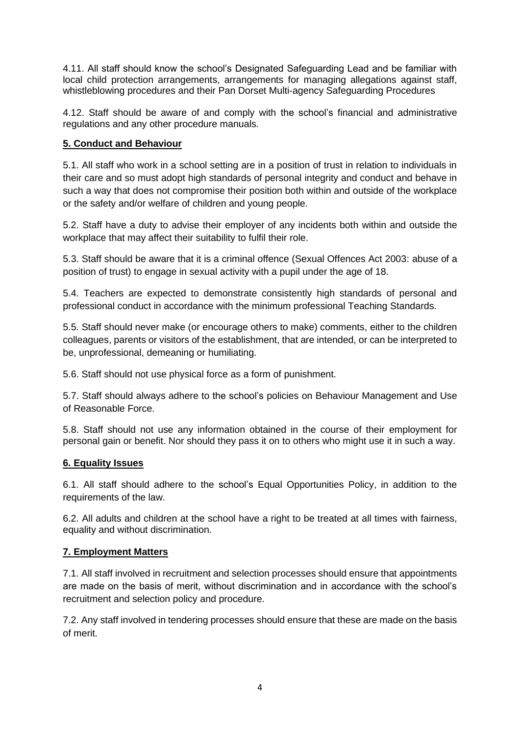4.11. All staff should know the school's Designated Safeguarding Lead and be familiar with local child protection arrangements, arrangements for managing allegations against staff, whistleblowing procedures and their Pan Dorset Multi-agency Safeguarding Procedures

4.12. Staff should be aware of and comply with the school's financial and administrative regulations and any other procedure manuals.

# **5. Conduct and Behaviour**

5.1. All staff who work in a school setting are in a position of trust in relation to individuals in their care and so must adopt high standards of personal integrity and conduct and behave in such a way that does not compromise their position both within and outside of the workplace or the safety and/or welfare of children and young people.

5.2. Staff have a duty to advise their employer of any incidents both within and outside the workplace that may affect their suitability to fulfil their role.

5.3. Staff should be aware that it is a criminal offence (Sexual Offences Act 2003: abuse of a position of trust) to engage in sexual activity with a pupil under the age of 18.

5.4. Teachers are expected to demonstrate consistently high standards of personal and professional conduct in accordance with the minimum professional Teaching Standards.

5.5. Staff should never make (or encourage others to make) comments, either to the children colleagues, parents or visitors of the establishment, that are intended, or can be interpreted to be, unprofessional, demeaning or humiliating.

5.6. Staff should not use physical force as a form of punishment.

5.7. Staff should always adhere to the school's policies on Behaviour Management and Use of Reasonable Force.

5.8. Staff should not use any information obtained in the course of their employment for personal gain or benefit. Nor should they pass it on to others who might use it in such a way.

# **6. Equality Issues**

6.1. All staff should adhere to the school's Equal Opportunities Policy, in addition to the requirements of the law.

6.2. All adults and children at the school have a right to be treated at all times with fairness, equality and without discrimination.

# **7. Employment Matters**

7.1. All staff involved in recruitment and selection processes should ensure that appointments are made on the basis of merit, without discrimination and in accordance with the school's recruitment and selection policy and procedure.

7.2. Any staff involved in tendering processes should ensure that these are made on the basis of merit.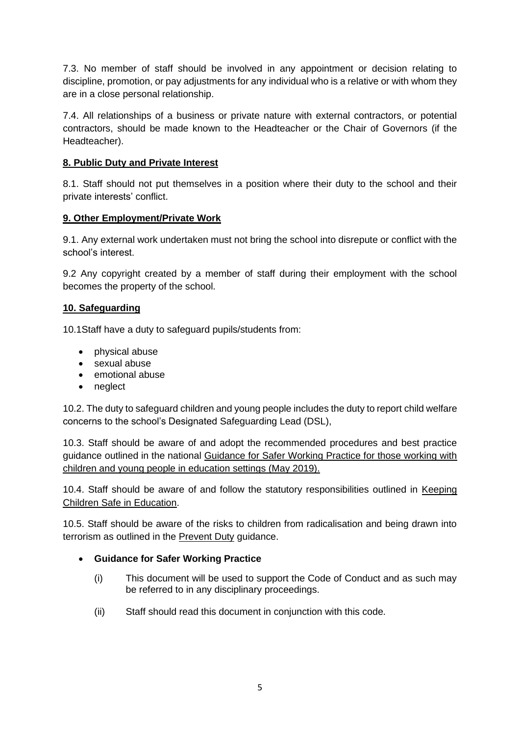7.3. No member of staff should be involved in any appointment or decision relating to discipline, promotion, or pay adjustments for any individual who is a relative or with whom they are in a close personal relationship.

7.4. All relationships of a business or private nature with external contractors, or potential contractors, should be made known to the Headteacher or the Chair of Governors (if the Headteacher).

### **8. Public Duty and Private Interest**

8.1. Staff should not put themselves in a position where their duty to the school and their private interests' conflict.

#### **9. Other Employment/Private Work**

9.1. Any external work undertaken must not bring the school into disrepute or conflict with the school's interest.

9.2 Any copyright created by a member of staff during their employment with the school becomes the property of the school.

#### **10. Safeguarding**

10.1Staff have a duty to safeguard pupils/students from:

- physical abuse
- sexual abuse
- emotional abuse
- neglect

10.2. The duty to safeguard children and young people includes the duty to report child welfare concerns to the school's Designated Safeguarding Lead (DSL),

10.3. Staff should be aware of and adopt the recommended procedures and best practice guidance outlined in the national Guidance for Safer Working Practice for those working with children and young people in education settings (May 2019).

10.4. Staff should be aware of and follow the statutory responsibilities outlined in Keeping Children Safe in Education.

10.5. Staff should be aware of the risks to children from radicalisation and being drawn into terrorism as outlined in the **Prevent Duty** guidance.

# • **Guidance for Safer Working Practice**

- (i) This document will be used to support the Code of Conduct and as such may be referred to in any disciplinary proceedings.
- (ii) Staff should read this document in conjunction with this code.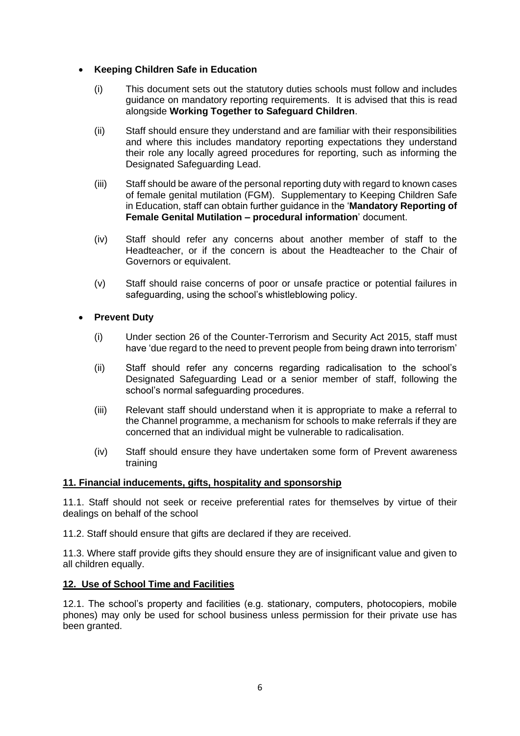#### • **Keeping Children Safe in Education**

- (i) This document sets out the statutory duties schools must follow and includes guidance on mandatory reporting requirements. It is advised that this is read alongside **Working Together to Safeguard Children**.
- (ii) Staff should ensure they understand and are familiar with their responsibilities and where this includes mandatory reporting expectations they understand their role any locally agreed procedures for reporting, such as informing the Designated Safeguarding Lead.
- (iii) Staff should be aware of the personal reporting duty with regard to known cases of female genital mutilation (FGM). Supplementary to Keeping Children Safe in Education, staff can obtain further guidance in the '**Mandatory Reporting of Female Genital Mutilation – procedural information**' document.
- (iv) Staff should refer any concerns about another member of staff to the Headteacher, or if the concern is about the Headteacher to the Chair of Governors or equivalent.
- (v) Staff should raise concerns of poor or unsafe practice or potential failures in safeguarding, using the school's whistleblowing policy.

#### • **Prevent Duty**

- (i) Under section 26 of the Counter-Terrorism and Security Act 2015, staff must have 'due regard to the need to prevent people from being drawn into terrorism'
- (ii) Staff should refer any concerns regarding radicalisation to the school's Designated Safeguarding Lead or a senior member of staff, following the school's normal safeguarding procedures.
- (iii) Relevant staff should understand when it is appropriate to make a referral to the Channel programme, a mechanism for schools to make referrals if they are concerned that an individual might be vulnerable to radicalisation.
- (iv) Staff should ensure they have undertaken some form of Prevent awareness training

#### **11. Financial inducements, gifts, hospitality and sponsorship**

11.1. Staff should not seek or receive preferential rates for themselves by virtue of their dealings on behalf of the school

11.2. Staff should ensure that gifts are declared if they are received.

11.3. Where staff provide gifts they should ensure they are of insignificant value and given to all children equally.

#### **12. Use of School Time and Facilities**

12.1. The school's property and facilities (e.g. stationary, computers, photocopiers, mobile phones) may only be used for school business unless permission for their private use has been granted.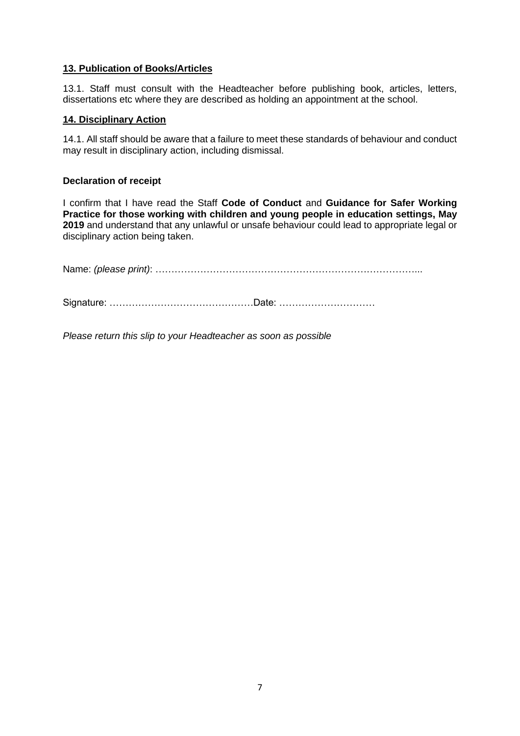#### **13. Publication of Books/Articles**

13.1. Staff must consult with the Headteacher before publishing book, articles, letters, dissertations etc where they are described as holding an appointment at the school.

#### **14. Disciplinary Action**

14.1. All staff should be aware that a failure to meet these standards of behaviour and conduct may result in disciplinary action, including dismissal.

#### **Declaration of receipt**

I confirm that I have read the Staff **Code of Conduct** and **Guidance for Safer Working Practice for those working with children and young people in education settings, May 2019** and understand that any unlawful or unsafe behaviour could lead to appropriate legal or disciplinary action being taken.

Name: *(please print)*: ………………………………………………………………………...

Signature: ………………………………………Date: …………………………

*Please return this slip to your Headteacher as soon as possible*